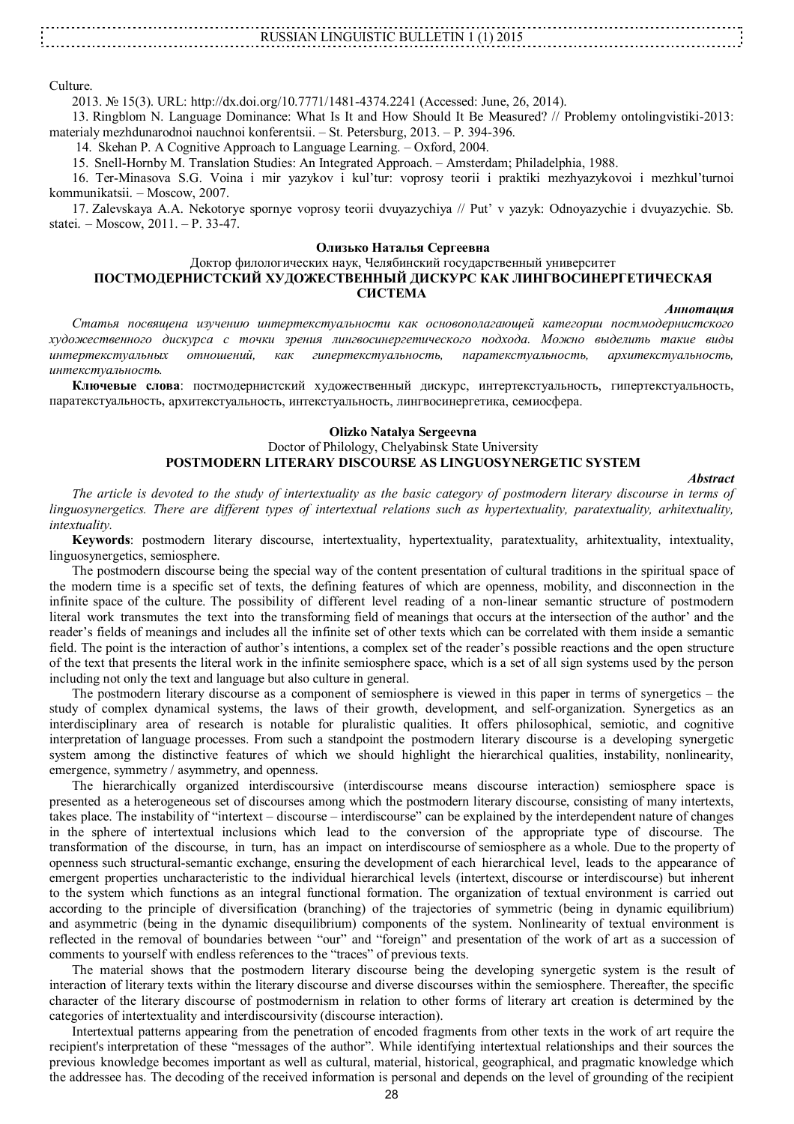RUSSIAN LINGUISTIC BULLETIN 1 (1) 2015

Culture.

2013. № 15(3). URL: http://dx.doi.org/10.7771/1481-4374.2241 (Accessed: June, 26, 2014).

13. Ringblom N. Language Dominance: What Is It and How Should It Be Measured? // Problemy ontolingvistiki-2013: materialy mezhdunarodnoi nauchnoi konferentsii. – St. Petersburg, 2013. – P. 394-396.

14. Skehan P. A Cognitive Approach to Language Learning. – Oxford, 2004.

15. Snell-Hornby M. Translation Studies: An Integrated Approach. – Amsterdam; Philadelphia, 1988.

16. Ter-Minasova S.G. Voina i mir yazykov i kul'tur: voprosy teorii i praktiki mezhyazykovoi i mezhkul'turnoi kommunikatsii. – Moscow, 2007.

17. Zalevskaya A.A. Nekotorye spornye voprosy teorii dvuyazychiya // Put' v yazyk: Odnoyazychie i dvuyazychie. Sb. statei. – Moscow, 2011. – P. 33-47.

#### **Олизько Наталья Сергеевна**

### Доктор филологических наук, Челябинский государственный университет **ПОСТМОДЕРНИСТСКИЙ ХУДОЖЕСТВЕННЫЙ ДИСКУРС КАК ЛИНГВОСИНЕРГЕТИЧЕСКАЯ СИСТЕМА**

#### *Аннотация*

*Статья посвящена изучению интертекстуальности как основополагающей категории постмодернистского художественного дискурса с точки зрения лингвосинергетического подхода. Можно выделить такие виды интертекстуальных отношений, как гипертекстуальность, паратекстуальность, архитекстуальность, интекстуальность.*

**Ключевые слова**: постмодернистский художественный дискурс, интертекстуальность, гипертекстуальность, паратекстуальность, архитекстуальность, интекстуальность, лингвосинергетика, семиосфера.

# **Olizko Natalya Sergeevna**

### Doctor of Philology, Chelyabinsk State University **POSTMODERN LITERARY DISCOURSE AS LINGUOSYNERGETIC SYSTEM**

#### *Abstract*

*The article is devoted to the study of intertextuality as the basic category of postmodern literary discourse in terms of linguosynergetics. There are different types of intertextual relations such as hypertextuality, paratextuality, arhitextuality, intextuality.*

**Keywords**: postmodern literary discourse, intertextuality, hypertextuality, paratextuality, arhitextuality, intextuality, linguosynergetics, semiosphere.

The postmodern discourse being the special way of the content presentation of cultural traditions in the spiritual space of the modern time is a specific set of texts, the defining features of which are openness, mobility, and disconnection in the infinite space of the culture. The possibility of different level reading of a non-linear semantic structure of postmodern literal work transmutes the text into the transforming field of meanings that occurs at the intersection of the author' and the reader's fields of meanings and includes all the infinite set of other texts which can be correlated with them inside a semantic field. The point is the interaction of author's intentions, a complex set of the reader's possible reactions and the open structure of the text that presents the literal work in the infinite semiosphere space, which is a set of all sign systems used by the person including not only the text and language but also culture in general.

The postmodern literary discourse as a component of semiosphere is viewed in this paper in terms of synergetics – the study of complex dynamical systems, the laws of their growth, development, and self-organization. Synergetics as an interdisciplinary area of research is notable for pluralistic qualities. It offers philosophical, semiotic, and cognitive interpretation of language processes. From such a standpoint the postmodern literary discourse is a developing synergetic system among the distinctive features of which we should highlight the hierarchical qualities, instability, nonlinearity, emergence, symmetry / asymmetry, and openness.

The hierarchically organized interdiscoursive (interdiscourse means discourse interaction) semiosphere space is presented as a heterogeneous set of discourses among which the postmodern literary discourse, consisting of many intertexts, takes place. The instability of "intertext – discourse – interdiscourse" can be explained by the interdependent nature of changes in the sphere of intertextual inclusions which lead to the conversion of the appropriate type of discourse. The transformation of the discourse, in turn, has an impact on interdiscourse of semiosphere as a whole. Due to the property of openness such structural-semantic exchange, ensuring the development of each hierarchical level, leads to the appearance of emergent properties uncharacteristic to the individual hierarchical levels (intertext, discourse or interdiscourse) but inherent to the system which functions as an integral functional formation. The organization of textual environment is carried out according to the principle of diversification (branching) of the trajectories of symmetric (being in dynamic equilibrium) and asymmetric (being in the dynamic disequilibrium) components of the system. Nonlinearity of textual environment is reflected in the removal of boundaries between "our" and "foreign" and presentation of the work of art as a succession of comments to yourself with endless references to the "traces" of previous texts.

The material shows that the postmodern literary discourse being the developing synergetic system is the result of interaction of literary texts within the literary discourse and diverse discourses within the semiosphere. Thereafter, the specific character of the literary discourse of postmodernism in relation to other forms of literary art creation is determined by the categories of intertextuality and interdiscoursivity (discourse interaction).

Intertextual patterns appearing from the penetration of encoded fragments from other texts in the work of art require the recipient's interpretation of these "messages of the author". While identifying intertextual relationships and their sources the previous knowledge becomes important as well as cultural, material, historical, geographical, and pragmatic knowledge which the addressee has. The decoding of the received information is personal and depends on the level of grounding of the recipient